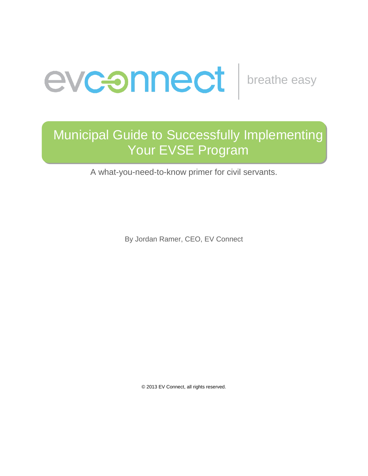

## Municipal Guide to Successfully Implementing Your EVSE Program

A what-you-need-to-know primer for civil servants.

By Jordan Ramer, CEO, EV Connect

© 2013 EV Connect, all rights reserved.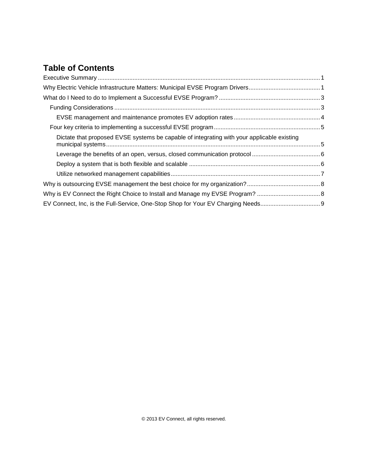## **Table of Contents**

| Dictate that proposed EVSE systems be capable of integrating with your applicable existing |  |
|--------------------------------------------------------------------------------------------|--|
|                                                                                            |  |
|                                                                                            |  |
|                                                                                            |  |
|                                                                                            |  |
|                                                                                            |  |
|                                                                                            |  |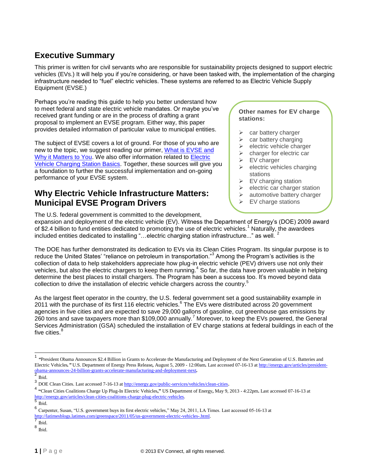## <span id="page-2-0"></span>**Executive Summary**

This primer is written for civil servants who are responsible for sustainability projects designed to support electric vehicles (EVs.) It will help you if you're considering, or have been tasked with, the implementation of the charging infrastructure needed to "fuel" electric vehicles. These systems are referred to as Electric Vehicle Supply Equipment (EVSE.)

Perhaps you're reading this guide to help you better understand how to meet federal and state electric vehicle mandates. Or maybe you've received grant funding or are in the process of drafting a grant proposal to implement an EVSE program. Either way, this paper provides detailed information of particular value to municipal entities.

The subject of EVSE covers a lot of ground. For those of you who are new to the topic, we suggest reading our primer, [What is EVSE and](http://www.evconnect.com/wp-content/uploads/2013/06/EV-Connect_What-is-EVSE_White-Paper_2013-06-181.pdf)  [Why it Matters to You.](http://www.evconnect.com/wp-content/uploads/2013/06/EV-Connect_What-is-EVSE_White-Paper_2013-06-181.pdf) We also offer information related to [Electric](http://www.evconnect.com/charge-stations/)  [Vehicle Charging Station Basics.](http://www.evconnect.com/charge-stations/) Together, these sources will give you a foundation to further the successful implementation and on-going performance of your EVSE system.

## <span id="page-2-1"></span>**Why Electric Vehicle Infrastructure Matters: Municipal EVSE Program Drivers**

The U.S. federal government is committed to the development,

#### **Other names for EV charge stations:**

- $\triangleright$  car battery charger
- $\triangleright$  car battery charging
- $\triangleright$  electric vehicle charger
- $\triangleright$  charger for electric car
- $\triangleright$  EV charger
- $\triangleright$  electric vehicles charging stations
- $\triangleright$  EV charging station
- $\triangleright$  electric car charger station
- $\triangleright$  automotive battery charger
- EV charge stations

**EV car charging stations**

expansion and deployment of the electric vehicle (EV). Witness the Department of Energy's (DOE) 2009 award of \$2.4 billion to fund entities dedicated to promoting the use of electric vehicles.<sup>1</sup> Naturally, the awardees included entities dedicated to installing "...electric charging station infrastructure..." as well.  $2$ 

The DOE has further demonstrated its dedication to EVs via its Clean Cities Program. Its singular purpose is to reduce the United States' "reliance on petroleum in transportation."<sup>3</sup> Among the Program's activities is the collection of data to help stakeholders appreciate how plug-in electric vehicle (PEV) drivers use not only their vehicles, but also the electric chargers to keep them running.<sup>4</sup> So far, the data have proven valuable in helping determine the best places to install chargers. The Program has been a success too. It's moved beyond data collection to drive the installation of electric vehicle chargers across the country.<sup>5</sup>

As the largest fleet operator in the country, the U.S. federal government set a good sustainability example in 2011 with the purchase of its first 116 electric vehicles.<sup>6</sup> The EVs were distributed across 20 government agencies in five cities and are expected to save 29,000 gallons of gasoline, cut greenhouse gas emissions by 260 tons and save taxpayers more than \$109,000 annually.<sup>7</sup> Moreover, to keep the EVs powered, the General Services Administration (GSA) scheduled the installation of EV charge stations at federal buildings in each of the five cities.<sup>8</sup>

l

<sup>1</sup> *"*President Obama Announces \$2.4 Billion in Grants to Accelerate the Manufacturing and Deployment of the Next Generation of U.S. Batteries and Electric Vehicles*."* U.S. Department of Energy Press Release*,* August 5, 2009 - 12:00am*.* Last accessed 07-16-13 at [http://energy.gov/articles/president](http://energy.gov/articles/president-obama-announces-24-billion-grants-accelerate-manufacturing-and-deployment-next)[obama-announces-24-billion-grants-accelerate-manufacturing-and-deployment-next](http://energy.gov/articles/president-obama-announces-24-billion-grants-accelerate-manufacturing-and-deployment-next)*.* 2

Ibid.

<sup>&</sup>lt;sup>3</sup> DOE Clean Cities. Last accessed 7-16-13 a[t http://energy.gov/public-services/vehicles/clean-cities](http://energy.gov/public-services/vehicles/clean-cities).

<sup>4</sup> **"**Clean Cities Coalitions Charge Up Plug-In Electric Vehicles**,"** US Department of Energy**,** May 9, 2013 - 4:22pm**.** Last accessed 07-16-13 at [http://energy.gov/articles/clean-cities-coalitions-charge-plug-electric-vehicles.](http://energy.gov/articles/clean-cities-coalitions-charge-plug-electric-vehicles)<br>5 m.

Ibid. 6

Carpenter, Susan, "U.S. government buys its first electric vehicles," May 24, 2011, LA Times. Last accessed 05-16-13 at [http://latimesblogs.latimes.com/greenspace/2011/05/us-government-electric-vehicles-.html.](http://latimesblogs.latimes.com/greenspace/2011/05/us-government-electric-vehicles-.html)<br>7 m · 1

Ibid.

<sup>8</sup> Ibid.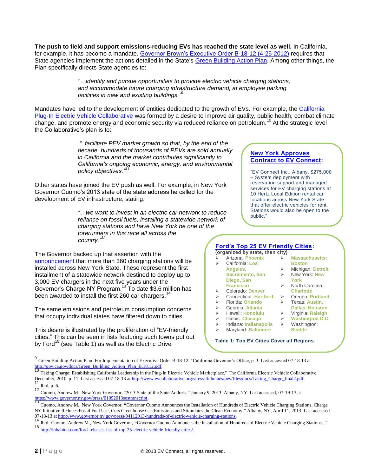**The push to field and support emissions-reducing EVs has reached the state level as well.** In California, for example, it has become a mandate. [Governor Brown's Executive Order B-18-12 \(4-25-2012\)](http://gov.ca.gov/news.php?id=17508) requires that State agencies implement the actions detailed in the State's [Green Building](http://gov.ca.gov/docs/Green_Building_Action_Plan_B.18.12.pdf) Action Plan. Among other things, the Plan specifically directs State agencies to:

> *"…identify and pursue opportunities to provide electric vehicle charging stations, and accommodate future charging infrastructure demand, at employee parking facilities in new and existing buildings."<sup>9</sup>*

Mandates have led to the development of entities dedicated to the growth of EVs. For example, the California [Plug-In Electric Vehicle Collaborative](http://www.evcollaborative.org/) was formed by a desire to improve air quality, public health, combat climate change, and promote energy and economic security via reduced reliance on petroleum.<sup>10</sup> At the strategic level the Collaborative's plan is to:

> *"..facilitate PEV market growth so that, by the end of the decade, hundreds of thousands of PEVs are sold annually in California and the market contributes significantly to California's ongoing economic, energy, and environmental policy objectives."<sup>11</sup>*

Other states have joined the EV push as well. For example, in New York Governor Cuomo's 2013 state of the state address he called for the development of EV infrastructure, stating:

> *"…we want to invest in an electric car network to reduce reliance on fossil fuels, installing a statewide network of charging stations and have New York be one of the forerunners in this race all across the country."<sup>12</sup>*

The Governor backed up that assertion with the [announcement](http://www.governor.ny.gov/press/04112013-hundreds-of-electric-vehicle-charging-stations) that more than 360 charging stations will be installed across New York State. These represent the first installment of a statewide network destined to deploy up to 3,000 EV chargers in the next five years under the Governor's Charge NY Program.<sup>13</sup> To date \$3.6 million has been awarded to install the first 260 car chargers.<sup>14</sup>

The same emissions and petroleum consumption concerns that occupy individual states have filtered down to cities.

This desire is illustrated by the proliferation of "EV-friendly cities." This can be seen in lists featuring such towns put out by Ford<sup>15</sup> (see Table 1) as well as the Electric Drive

#### **[New York Approves](http://www.governor.ny.gov/press/04112013-hundreds-of-electric-vehicle-charging-stations)  [Contract to EV Connect:](http://www.governor.ny.gov/press/04112013-hundreds-of-electric-vehicle-charging-stations)**

"EV Connect Inc., Albany, \$275,000 – System deployment with reservation support and managed services for EV charging stations at 10 Hertz Local Edition rental car locations across New York State that offer electric vehicles for rent. Stations would also be open to the public."

**York**

 North Carolina: **Charlotte** Oregon: **Portland** Texas: **Austin, Dallas, Houston** Virginia: **Raleigh Washington D.C.** Washington: **Seattle**

#### **[Ford's Top 25 EV Friendly Cities:](http://media.ford.com/article_display.cfm?article_id=34429) (organized by state, then city)**

|   | $\overline{v}$ , guilleva by otato, thon only |   |                       |
|---|-----------------------------------------------|---|-----------------------|
| ⋗ | Arizona: Phoenix                              |   | <b>Massachusetts:</b> |
| ⋗ | California: Los                               |   | <b>Boston</b>         |
|   | Angeles,                                      | ⋗ | Michigan: Detroit     |
|   | Sacramento, San                               | ⋗ | New York: New         |
|   |                                               |   |                       |

- **Diego, San**  New York: **New**
- **Francisco**
- Colorado: **Denver**
- Connecticut: **Hartford**
- Florida: **Orlando**
- Georgia: **Atlanta**
- Hawaii: **Honolulu**
- Illinois: **Chicago**
- Indiana: **Indianapolis**
- Maryland: **Baltimore**

**Table 1: Top EV Cities Cover all Regions.**

 9 Green Building Action Plan–For Implementation of Executive Order B-18-12." California Governor's Office, p. 3. Last accessed 07-18-13 at

http://gov.ca.gov/docs/Green\_Building\_Action\_Plan\_B.18.12.pdf.<br><sup>10</sup> Taking Charge: Establishing California Leadership in the Plug-In Electric Vehicle Marketplace," The California Electric Vehicle Collaborative. December, 2010. p. 11. Last accessed 07-18-13 at http://www.evcollaborative.org/sites/all/themes/pev/files/docs/Taking\_Charge\_final2.pdf. Ibid, p. 6.

<sup>12</sup> Cuomo, Andrew M., New York Governor, "2013 State of the State Address," January 9, 2013, Albany, NY. Last accessed, 07-19-13 at [https://www.governor.ny.gov/press/01092013sostranscript.](https://www.governor.ny.gov/press/01092013sostranscript)

<sup>13</sup> Cuomo, Andrew M., New York Governor, **"**Governor Cuomo Announces the Installation of Hundreds of Electric Vehicle Charging Stations, Charge NY Initiative Reduces Fossil Fuel Use, Cuts Greenhouse Gas Emissions and Stimulates the Clean Economy." Albany, NY, April 11, 2013. Last accessed 07-18-13 a[t http://www.governor.ny.gov/press/04112013-hundreds-of-electric-vehicle-charging-stations.](http://www.governor.ny.gov/press/04112013-hundreds-of-electric-vehicle-charging-stations)

<sup>14</sup> Ibid, Cuomo, Andrew M., New York Governor, **"**Governor Cuomo Announces the Installation of Hundreds of Electric Vehicle Charging Stations..."

<sup>15</sup> [http://inhabitat.com/ford-releases-list-of-top-25-electric-vehicle-friendly-cities/.](http://inhabitat.com/ford-releases-list-of-top-25-electric-vehicle-friendly-cities/)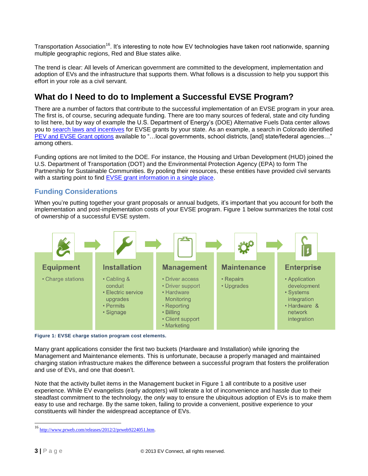Transportation Association<sup>16</sup>. It's interesting to note how EV technologies have taken root nationwide, spanning multiple geographic regions, Red and Blue states alike.

The trend is clear: All levels of American government are committed to the development, implementation and adoption of EVs and the infrastructure that supports them. What follows is a discussion to help you support this effort in your role as a civil servant.

## <span id="page-4-0"></span>**What do I Need to do to Implement a Successful EVSE Program?**

There are a number of factors that contribute to the successful implementation of an EVSE program in your area. The first is, of course, securing adequate funding. There are too many sources of federal, state and city funding to list here, but by way of example the U.S. Department of Energy's (DOE) Alternative Fuels Data center allows you to [search laws and incentives](http://www.afdc.energy.gov/fuels/laws/3270) for EVSE grants by your state. As an example, a search in Colorado identified [PEV and EVSE Grant options](http://www.afdc.energy.gov/fuels/laws/3270/CO) available to "…local governments, school districts, [and] state/federal agencies…" among others.

Funding options are not limited to the DOE. For instance, the Housing and Urban Development (HUD) joined the U.S. Department of Transportation (DOT) and the Environmental Protection Agency (EPA) to form The Partnership for Sustainable Communities. By pooling their resources, these entities have provided civil servants with a starting point to find [EVSE grant information in a single place.](http://www.sustainablecommunities.gov/grants.html)

#### <span id="page-4-1"></span>**Funding Considerations**

When you're putting together your grant proposals or annual budgets, it's important that you account for both the implementation and post-implementation costs of your EVSE program. Figure 1 below summarizes the total cost of ownership of a successful EVSE system.



**Figure 1: EVSE charge station program cost elements.**

Many grant applications consider the first two buckets (Hardware and Installation) while ignoring the Management and Maintenance elements. This is unfortunate, because a properly managed and maintained charging station infrastructure makes the difference between a successful program that fosters the proliferation and use of EVs, and one that doesn't.

Note that the activity bullet items in the Management bucket in Figure 1 all contribute to a positive user experience. While EV evangelists (early adopters) will tolerate a lot of inconvenience and hassle due to their steadfast commitment to the technology, the *only* way to ensure the ubiquitous adoption of EVs is to make them easy to use and recharge. By the same token, failing to provide a convenient, positive experience to your constituents will hinder the widespread acceptance of EVs.

l

<sup>16</sup> [http://www.prweb.com/releases/2012/2/prweb9224051.htm.](http://www.prweb.com/releases/2012/2/prweb9224051.htm)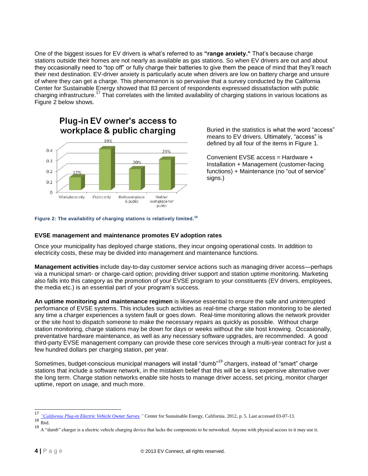One of the biggest issues for EV drivers is what's referred to as **"range anxiety."** That's because charge stations outside their homes are not nearly as available as gas stations. So when EV drivers are out and about they occasionally need to "top off" or fully charge their batteries to give them the peace of mind that they'll reach their next destination. EV-driver anxiety is particularly acute when drivers are low on battery charge and unsure of where they can get a charge. This phenomenon is so pervasive that a survey conducted by the California Center for Sustainable Energy showed that 83 percent of respondents expressed dissatisfaction with public charging infrastructure.<sup>17</sup> That correlates with the limited availability of charging stations in various locations as Figure 2 below shows.



Buried in the statistics is what the word "access" means to EV drivers. Ultimately, "access" is defined by all four of the items in Figure 1.

Convenient EVSE access = Hardware + Installation + Management (customer-facing functions) + Maintenance (no "out of service" signs.)

#### **Figure 2: The availability of charging stations is relatively limited.<sup>18</sup>**

#### <span id="page-5-0"></span>**EVSE management and maintenance promotes EV adoption rates**

Once your municipality has deployed charge stations, they incur ongoing operational costs. In addition to electricity costs, these may be divided into management and maintenance functions.

**Management activities** include day-to-day customer service actions such as managing driver access—perhaps via a municipal smart- or charge-card option; providing driver support and station uptime monitoring. Marketing also falls into this category as the promotion of your EVSE program to your constituents (EV drivers, employees, the media etc.) is an essential part of your program's success.

**An uptime monitoring and maintenance regimen** is likewise essential to ensure the safe and uninterrupted performance of EVSE systems. This includes such activities as real-time charge station monitoring to be alerted any time a charger experiences a system fault or goes down. Real-time monitoring allows the network provider or the site host to dispatch someone to make the necessary repairs as quickly as possible. Without charge station monitoring, charge stations may be down for days or weeks without the site host knowing. Occasionally, preventative hardware maintenance, as well as any necessary software upgrades, are recommended. A good third-party EVSE management company can provide these core services through a multi-year contract for just a few hundred dollars per charging station, per year.

Sometimes, budget-conscious municipal managers will install "dumb"<sup>19</sup> chargers, instead of "smart" charge stations that include a software network, in the mistaken belief that this will be a less expensive alternative over the long term. Charge station networks enable site hosts to manage driver access, set pricing, monitor charger uptime, report on usage, and much more.

l

<sup>17</sup> *["California Plug-in Electric Vehicle Owner Survey,](http://energycenter.org/index.php/incentive-programs/self-generation-incentive-program/sgip-documents/doc_download/1140-pev-owner-survey-result)"* Center for Sustainable Energy, California. 2012, p. 5. Last accessed 03-07-13.

 $\frac{18}{19}$  Ibid.

<sup>19</sup> A "dumb" charger is a electric vehicle charging device that lacks the components to be networked. Anyone with physical access to it may use it.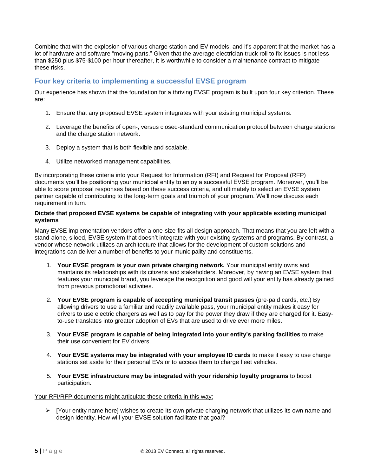Combine that with the explosion of various charge station and EV models, and it's apparent that the market has a lot of hardware and software "moving parts." Given that the average electrician truck roll to fix issues is not less than \$250 plus \$75-\$100 per hour thereafter, it is worthwhile to consider a maintenance contract to mitigate these risks.

#### <span id="page-6-0"></span>**Four key criteria to implementing a successful EVSE program**

Our experience has shown that the foundation for a thriving EVSE program is built upon four key criterion. These are:

- 1. Ensure that any proposed EVSE system integrates with your existing municipal systems.
- 2. Leverage the benefits of open-, versus closed-standard communication protocol between charge stations and the charge station network.
- 3. Deploy a system that is both flexible and scalable.
- 4. Utilize networked management capabilities.

By incorporating these criteria into your Request for Information (RFI) and Request for Proposal (RFP) documents you'll be positioning your municipal entity to enjoy a successful EVSE program. Moreover, you'll be able to score proposal responses based on these success criteria, and ultimately to select an EVSE system partner capable of contributing to the long-term goals and triumph of your program. We'll now discuss each requirement in turn.

#### <span id="page-6-1"></span>**Dictate that proposed EVSE systems be capable of integrating with your applicable existing municipal systems**

Many EVSE implementation vendors offer a one-size-fits all design approach. That means that you are left with a stand-alone, siloed, EVSE system that doesn't integrate with your existing systems and programs. By contrast, a vendor whose network utilizes an architecture that allows for the development of custom solutions and integrations can deliver a number of benefits to your municipality and constituents.

- 1. **Your EVSE program is your own private charging network.** Your municipal entity owns and maintains its relationships with its citizens and stakeholders. Moreover, by having an EVSE system that features your municipal brand, you leverage the recognition and good will your entity has already gained from previous promotional activities.
- 2. **Your EVSE program is capable of accepting municipal transit passes** (pre-paid cards, etc.) By allowing drivers to use a familiar and readily available pass, your municipal entity makes it easy for drivers to use electric chargers as well as to pay for the power they draw if they are charged for it. Easyto-use translates into greater adoption of EVs that are used to drive ever more miles.
- 3. **Your EVSE program is capable of being integrated into your entity's parking facilities** to make their use convenient for EV drivers.
- 4. **Your EVSE systems may be integrated with your employee ID cards** to make it easy to use charge stations set aside for their personal EVs or to access them to charge fleet vehicles.
- 5. **Your EVSE infrastructure may be integrated with your ridership loyalty programs** to boost participation.

#### Your RFI/RFP documents might articulate these criteria in this way:

 $\triangleright$  [Your entity name here] wishes to create its own private charging network that utilizes its own name and design identity. How will your EVSE solution facilitate that goal?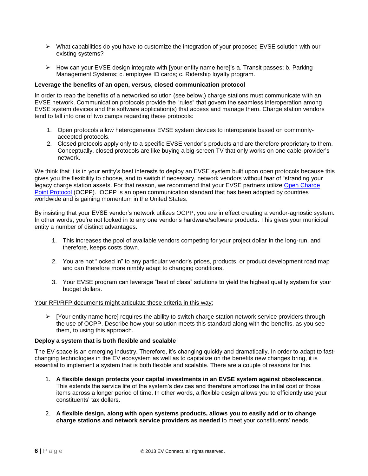- $\triangleright$  What capabilities do you have to customize the integration of your proposed EVSE solution with our existing systems?
- $\triangleright$  How can your EVSE design integrate with [your entity name here]'s a. Transit passes; b. Parking Management Systems; c. employee ID cards; c. Ridership loyalty program.

#### <span id="page-7-0"></span>**Leverage the benefits of an open, versus, closed communication protocol**

In order to reap the benefits of a networked solution (see below,) charge stations must communicate with an EVSE network. Communication protocols provide the "rules" that govern the seamless interoperation among EVSE system devices and the software application(s) that access and manage them. Charge station vendors tend to fall into one of two camps regarding these protocols:

- 1. Open protocols allow heterogeneous EVSE system devices to interoperate based on commonlyaccepted protocols.
- 2. Closed protocols apply only to a specific EVSE vendor's products and are therefore proprietary to them. Conceptually, closed protocols are like buying a big-screen TV that only works on one cable-provider's network.

We think that it is in your entity's best interests to deploy an EVSE system built upon open protocols because this gives you the flexibility to choose, and to switch if necessary, network vendors without fear of "stranding your legacy charge station assets. For that reason, we recommend that your EVSE partners utilize [Open Charge](http://www.evconnect.com/flexibility-and-ocpp/)  [Point Protocol](http://www.evconnect.com/flexibility-and-ocpp/) (OCPP). OCPP is an open communication standard that has been adopted by countries worldwide and is gaining momentum in the United States.

By insisting that your EVSE vendor's network utilizes OCPP, you are in effect creating a vendor-agnostic system. In other words, you're not locked in to any one vendor's hardware/software products. This gives your municipal entity a number of distinct advantages.

- 1. This increases the pool of available vendors competing for your project dollar in the long-run, and therefore, keeps costs down.
- 2. You are not "locked in" to any particular vendor's prices, products, or product development road map and can therefore more nimbly adapt to changing conditions.
- 3. Your EVSE program can leverage "best of class" solutions to yield the highest quality system for your budget dollars.

#### Your RFI/RFP documents might articulate these criteria in this way:

 $\triangleright$  [Your entity name here] requires the ability to switch charge station network service providers through the use of OCPP. Describe how your solution meets this standard along with the benefits, as you see them, to using this approach.

#### <span id="page-7-1"></span>**Deploy a system that is both flexible and scalable**

The EV space is an emerging industry. Therefore, it's changing quickly and dramatically. In order to adapt to fastchanging technologies in the EV ecosystem as well as to capitalize on the benefits new changes bring, it is essential to implement a system that is both flexible and scalable. There are a couple of reasons for this.

- 1. **A flexible design protects your capital investments in an EVSE system against obsolescence**. This extends the service life of the system's devices and therefore amortizes the initial cost of those items across a longer period of time. In other words, a flexible design allows you to efficiently use your constituents' tax dollars.
- 2. **A flexible design, along with open systems products, allows you to easily add or to change charge stations and network service providers as needed** to meet your constituents' needs.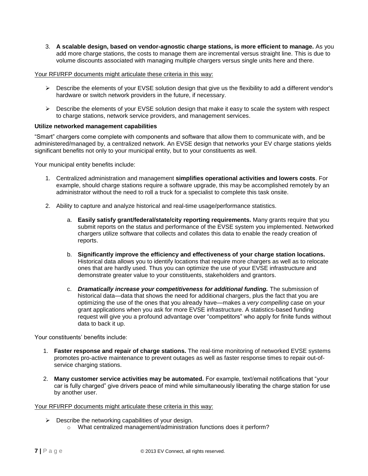3. **A scalable design, based on vendor-agnostic charge stations, is more efficient to manage.** As you add more charge stations, the costs to manage them are incremental versus straight line. This is due to volume discounts associated with managing multiple chargers versus single units here and there.

#### Your RFI/RFP documents might articulate these criteria in this way:

- $\triangleright$  Describe the elements of your EVSE solution design that give us the flexibility to add a different vendor's hardware or switch network providers in the future, if necessary.
- $\triangleright$  Describe the elements of your EVSE solution design that make it easy to scale the system with respect to charge stations, network service providers, and management services.

#### <span id="page-8-0"></span>**Utilize networked management capabilities**

"Smart" chargers come complete with components and software that allow them to communicate with, and be administered/managed by, a centralized network. An EVSE design that networks your EV charge stations yields significant benefits not only to your municipal entity, but to your constituents as well.

Your municipal entity benefits include:

- 1. Centralized administration and management **simplifies operational activities and lowers costs**. For example, should charge stations require a software upgrade, this may be accomplished remotely by an administrator without the need to roll a truck for a specialist to complete this task onsite.
- 2. Ability to capture and analyze historical and real-time usage/performance statistics.
	- a. **Easily satisfy grant/federal/state/city reporting requirements.** Many grants require that you submit reports on the status and performance of the EVSE system you implemented. Networked chargers utilize software that collects and collates this data to enable the ready creation of reports.
	- b. **Significantly improve the efficiency and effectiveness of your charge station locations.** Historical data allows you to identify locations that require more chargers as well as to relocate ones that are hardly used. Thus you can optimize the use of your EVSE infrastructure and demonstrate greater value to your constituents, stakeholders and grantors.
	- c. *Dramatically increase your competitiveness for additional funding.* The submission of historical data—data that shows the need for additional chargers, plus the fact that you are optimizing the use of the ones that you already have—makes a *very compelling* case on your grant applications when you ask for more EVSE infrastructure. A statistics-based funding request will give you a profound advantage over "competitors" who apply for finite funds without data to back it up.

Your constituents' benefits include:

- 1. **Faster response and repair of charge stations.** The real-time monitoring of networked EVSE systems promotes pro-active maintenance to prevent outages as well as faster response times to repair out-ofservice charging stations.
- 2. **Many customer service activities may be automated.** For example, text/email notifications that "your car is fully charged" give drivers peace of mind while simultaneously liberating the charge station for use by another user.

#### Your RFI/RFP documents might articulate these criteria in this way:

- $\triangleright$  Describe the networking capabilities of your design.
	- o What centralized management/administration functions does it perform?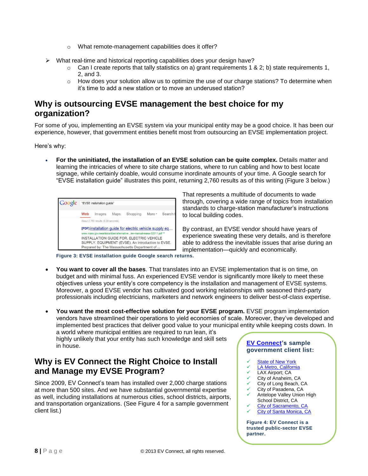- o What remote-management capabilities does it offer?
- $\triangleright$  What real-time and historical reporting capabilities does your design have?
	- $\circ$  Can I create reports that tally statistics on a) grant requirements 1 & 2; b) state requirements 1, 2, and 3.
	- $\circ$  How does your solution allow us to optimize the use of our charge stations? To determine when it's time to add a new station or to move an underused station?

## <span id="page-9-0"></span>**Why is outsourcing EVSE management the best choice for my organization?**

For some of you, implementing an EVSE system via your municipal entity may be a good choice. It has been our experience, however, that government entities benefit most from outsourcing an EVSE implementation project.

Here's why:

 **For the uninitiated, the installation of an EVSE solution can be quite complex.** Details matter and learning the intricacies of where to site charge stations, where to run cabling and how to best locate signage, while certainly doable, would consume inordinate amounts of your time. A Google search for "EVSE installation guide" illustrates this point, returning 2,760 results as of this writing (Figure 3 below.)

| Google | "EVSE installation guide"                                                                                                                                                                                           |        |      |          |        |        |  |
|--------|---------------------------------------------------------------------------------------------------------------------------------------------------------------------------------------------------------------------|--------|------|----------|--------|--------|--|
|        | Web                                                                                                                                                                                                                 | Images | Maps | Shopping | More - | Search |  |
|        | About 2.760 results (0.20 seconds)<br>[PDF] installation quide for electric vehicle supply eq                                                                                                                       |        |      |          |        |        |  |
|        | www.mass.gov/eea/docs/doer/alternative/ev-manual-mass-32011.pdf *<br>INSTALLATION GUIDE FOR. ELECTRIC VEHICLE<br>SUPPLY. EQUIPMENT (EVSE). An Introduction to EVSE.<br>Prepared by: The Massachusetts Department of |        |      |          |        |        |  |

That represents a multitude of documents to wade through, covering a wide range of topics from installation standards to charge-station manufacturer's instructions to local building codes.

By contrast, an EVSE vendor should have years of experience sweating these very details, and is therefore able to address the inevitable issues that arise during an implementation—quickly and economically.

**Figure 3: EVSE installation guide Google search returns.**

- **You want to cover all the bases**. That translates into an EVSE implementation that is on time, on budget and with minimal fuss. An experienced EVSE vendor is significantly more likely to meet these objectives unless your entity's core competency is the installation and management of EVSE systems. Moreover, a good EVSE vendor has cultivated good working relationships with seasoned third-party professionals including electricians, marketers and network engineers to deliver best-of-class expertise.
- You want the most cost-effective solution for your EVSE program. EVSE program implementation vendors have streamlined their operations to yield economies of scale. Moreover, they've developed and implemented best practices that deliver good value to your municipal entity while keeping costs down. In a world where municipal entities are required to run lean, it's

highly unlikely that your entity has such knowledge and skill sets in house.

## <span id="page-9-1"></span>**Why is EV Connect the Right Choice to Install and Manage my EVSE Program?**

Since 2009, EV Connect's team has installed over 2,000 charge stations at more than 500 sites. And we have substantial governmental expertise as well, including installations at numerous cities, school districts, airports, and transportation organizations. (See Figure 4 for a sample government client list.)

#### **[EV Connect'](http://www.evconnect.com/)s sample government client list:**

- [State of New York](http://www.governor.ny.gov/press/06062012Charging-Stations)
- [LA Metro, California](http://www.evconnect.com/metro-installing-electric-vehicle-charging-stations-at-train-stops/)
- **EXAX Airport; CA**<br>← City of Anaheim. CA
- $\checkmark$  City of Anaheim, CA
- City of Long Beach, CA  $\checkmark$  City of Pasadena, CA
- $\checkmark$  Antelope Valley Union High
- School District, CA [City of Sacramento, CA](http://eon.businesswire.com/news/eon/20120229005686/en/Fisker/ev-charge/infrastructure)
- [City of Santa Monica, CA](http://eon.businesswire.com/news/eon/20120125005581/en/green/charge-station/auto)

**Figure 4: EV Connect is a trusted public-sector EVSE partner.**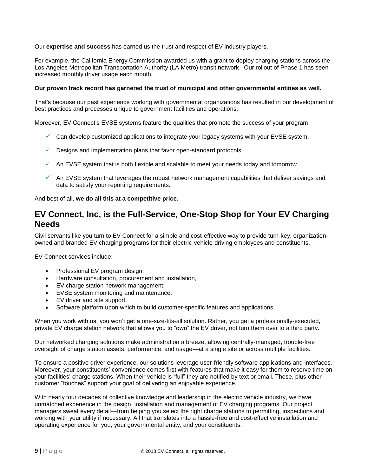Our **expertise and success** has earned us the trust and respect of EV industry players.

For example, the California Energy Commission awarded us with a grant to deploy charging stations across the Los Angeles Metropolitan Transportation Authority (LA Metro) transit network. Our rollout of Phase 1 has seen increased monthly driver usage each month.

#### **Our proven track record has garnered the trust of municipal and other governmental entities as well.**

That's because our past experience working with governmental organizations has resulted in our development of best practices and processes unique to government facilities and operations.

Moreover, EV Connect's EVSE systems feature the qualities that promote the success of your program.

- $\checkmark$  Can develop customized applications to integrate your legacy systems with your EVSE system.
- $\checkmark$  Designs and implementation plans that favor open-standard protocols.
- $\checkmark$  An EVSE system that is both flexible and scalable to meet your needs today and tomorrow.
- $\checkmark$  An EVSE system that leverages the robust network management capabilities that deliver savings and data to satisfy your reporting requirements.

<span id="page-10-0"></span>And best of all, **we do all this at a competitive price.** 

### **EV Connect, Inc, is the Full-Service, One-Stop Shop for Your EV Charging Needs**

Civil servants like you turn to EV Connect for a simple and cost-effective way to provide turn-key, organizationowned and branded EV charging programs for their electric-vehicle-driving employees and constituents.

EV Connect services include:

- Professional EV program design,
- Hardware consultation, procurement and installation,
- EV charge station network management,
- EVSE system monitoring and maintenance,
- EV driver and site support,
- Software platform upon which to build customer-specific features and applications.

When you work with us, you won't get a one-size-fits-all solution. Rather, you get a professionally-executed, private EV charge station network that allows you to "own" the EV driver, not turn them over to a third party.

Our networked charging solutions make administration a breeze, allowing centrally-managed, trouble-free oversight of charge station assets, performance, and usage—at a single site or across multiple facilities.

To ensure a positive driver experience, our solutions leverage user-friendly software applications and interfaces. Moreover, your constituents' convenience comes first with features that make it easy for them to reserve time on your facilities' charge stations. When their vehicle is "full" they are notified by text or email. These, plus other customer "touches" support your goal of delivering an enjoyable experience.

With nearly four decades of collective knowledge and leadership in the electric vehicle industry, we have unmatched experience in the design, installation and management of EV charging programs. Our project managers sweat every detail—from helping you select the right charge stations to permitting, inspections and working with your utility if necessary. All that translates into a hassle-free and cost-effective installation and operating experience for you, your governmental entity, and your constituents.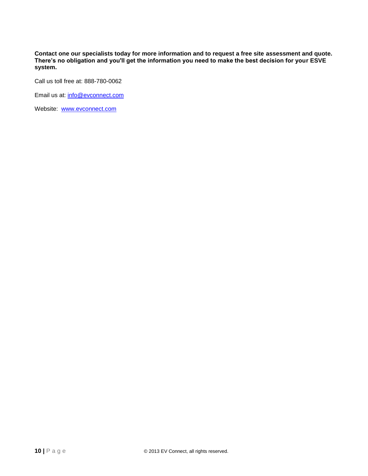**Contact one our specialists today for more information and to request a free site assessment and quote. There's no obligation and you'll get the information you need to make the best decision for your ESVE system.**

Call us toll free at: 888-780-0062

Email us at: [info@evconnect.com](mailto:xxx@evconnect.com)

Website: [www.evconnect.com](file:///C:/Users/Brad/AppData/Local/Microsoft/Windows/Temporary%20Internet%20Files/Content.Outlook/J4NCEZ5B/www.EVConnect.com)